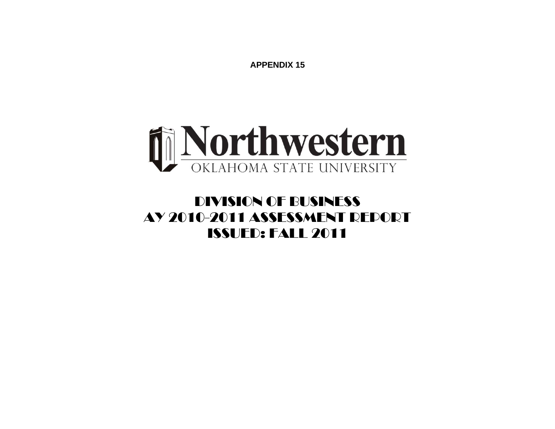**APPENDIX 15** 



## DIVISION OF BUSINESS AY 2010-2011 ASSESSMENT REPORT ISSUED: FALL 2011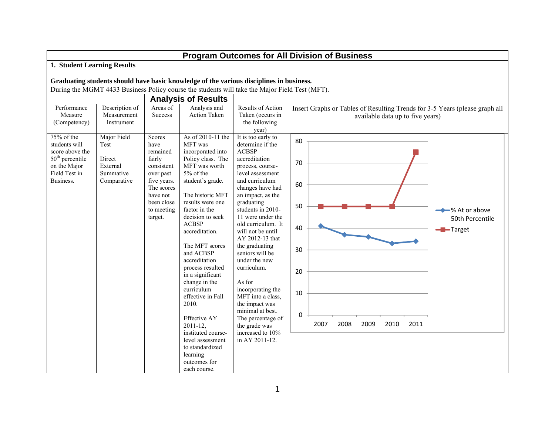| <b>Program Outcomes for All Division of Business</b>                                                              |                                                                       |                                                                                                                                                 |                                                                                                                                                                                                                                                                                                                                                                                                                                                                                                                                              |                                                                                                                                                                                                                                                                                                                                                                                                                                                                                                                                             |                                                   |      |      |      |      |                                  |                                                                             |  |
|-------------------------------------------------------------------------------------------------------------------|-----------------------------------------------------------------------|-------------------------------------------------------------------------------------------------------------------------------------------------|----------------------------------------------------------------------------------------------------------------------------------------------------------------------------------------------------------------------------------------------------------------------------------------------------------------------------------------------------------------------------------------------------------------------------------------------------------------------------------------------------------------------------------------------|---------------------------------------------------------------------------------------------------------------------------------------------------------------------------------------------------------------------------------------------------------------------------------------------------------------------------------------------------------------------------------------------------------------------------------------------------------------------------------------------------------------------------------------------|---------------------------------------------------|------|------|------|------|----------------------------------|-----------------------------------------------------------------------------|--|
| 1. Student Learning Results                                                                                       |                                                                       |                                                                                                                                                 |                                                                                                                                                                                                                                                                                                                                                                                                                                                                                                                                              |                                                                                                                                                                                                                                                                                                                                                                                                                                                                                                                                             |                                                   |      |      |      |      |                                  |                                                                             |  |
|                                                                                                                   |                                                                       |                                                                                                                                                 |                                                                                                                                                                                                                                                                                                                                                                                                                                                                                                                                              | Graduating students should have basic knowledge of the various disciplines in business.<br>During the MGMT 4433 Business Policy course the students will take the Major Field Test (MFT).                                                                                                                                                                                                                                                                                                                                                   |                                                   |      |      |      |      |                                  |                                                                             |  |
|                                                                                                                   |                                                                       |                                                                                                                                                 | <b>Analysis of Results</b>                                                                                                                                                                                                                                                                                                                                                                                                                                                                                                                   |                                                                                                                                                                                                                                                                                                                                                                                                                                                                                                                                             |                                                   |      |      |      |      |                                  |                                                                             |  |
| Performance<br>Measure<br>(Competency)                                                                            | Description of<br>Measurement<br>Instrument                           | Areas of<br><b>Success</b>                                                                                                                      | Analysis and<br><b>Action Taken</b>                                                                                                                                                                                                                                                                                                                                                                                                                                                                                                          | <b>Results of Action</b><br>Taken (occurs in<br>the following<br>year)                                                                                                                                                                                                                                                                                                                                                                                                                                                                      |                                                   |      |      |      |      | available data up to five years) | Insert Graphs or Tables of Resulting Trends for 3-5 Years (please graph all |  |
| 75% of the<br>students will<br>score above the<br>$50th$ percentile<br>on the Major<br>Field Test in<br>Business. | Major Field<br>Test<br>Direct<br>External<br>Summative<br>Comparative | Scores<br>have<br>remained<br>fairly<br>consistent<br>over past<br>five years.<br>The scores<br>have not<br>been close<br>to meeting<br>target. | As of 2010-11 the<br>MFT was<br>incorporated into<br>Policy class. The<br>MFT was worth<br>5% of the<br>student's grade.<br>The historic MFT<br>results were one<br>factor in the<br>decision to seek<br><b>ACBSP</b><br>accreditation.<br>The MFT scores<br>and ACBSP<br>accreditation<br>process resulted<br>in a significant<br>change in the<br>curriculum<br>effective in Fall<br>2010.<br><b>Effective AY</b><br>$2011 - 12.$<br>instituted course-<br>level assessment<br>to standardized<br>learning<br>outcomes for<br>each course. | It is too early to<br>determine if the<br><b>ACBSP</b><br>accreditation<br>process, course-<br>level assessment<br>and curriculum<br>changes have had<br>an impact, as the<br>graduating<br>students in 2010-<br>11 were under the<br>old curriculum. It<br>will not be until<br>AY 2012-13 that<br>the graduating<br>seniors will be<br>under the new<br>curriculum.<br>As for<br>incorporating the<br>MFT into a class,<br>the impact was<br>minimal at best.<br>The percentage of<br>the grade was<br>increased to 10%<br>in AY 2011-12. | 80<br>70<br>60<br>50<br>40<br>30<br>20<br>10<br>0 | 2007 | 2008 | 2009 | 2010 | 2011                             | → % At or above<br>50th Percentile<br>Target                                |  |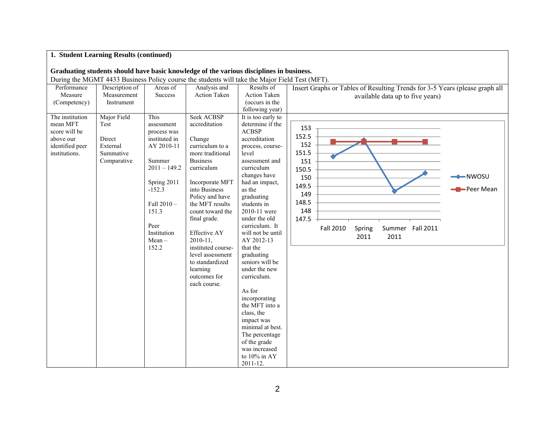|                                                                                               | 1. Student Learning Results (continued)                               |                                                                                                                                                                                            |                                                                                                                                                                                                                                                                                                                                                                              |                                                                                                                                                                                                                                                                                                                                                                                                                                                                                                                                                              |                                                                                                                                                                                                 |
|-----------------------------------------------------------------------------------------------|-----------------------------------------------------------------------|--------------------------------------------------------------------------------------------------------------------------------------------------------------------------------------------|------------------------------------------------------------------------------------------------------------------------------------------------------------------------------------------------------------------------------------------------------------------------------------------------------------------------------------------------------------------------------|--------------------------------------------------------------------------------------------------------------------------------------------------------------------------------------------------------------------------------------------------------------------------------------------------------------------------------------------------------------------------------------------------------------------------------------------------------------------------------------------------------------------------------------------------------------|-------------------------------------------------------------------------------------------------------------------------------------------------------------------------------------------------|
|                                                                                               |                                                                       |                                                                                                                                                                                            | Graduating students should have basic knowledge of the various disciplines in business.<br>During the MGMT 4433 Business Policy course the students will take the Major Field Test (MFT).                                                                                                                                                                                    |                                                                                                                                                                                                                                                                                                                                                                                                                                                                                                                                                              |                                                                                                                                                                                                 |
| Performance<br>Measure<br>(Competency)                                                        | Description of<br>Measurement<br>Instrument                           | Areas of<br><b>Success</b>                                                                                                                                                                 | Analysis and<br><b>Action Taken</b>                                                                                                                                                                                                                                                                                                                                          | Results of<br><b>Action Taken</b><br>(occurs in the<br>following year)                                                                                                                                                                                                                                                                                                                                                                                                                                                                                       | Insert Graphs or Tables of Resulting Trends for 3-5 Years (please graph all<br>available data up to five years)                                                                                 |
| The institution<br>mean MFT<br>score will be<br>above our<br>identified peer<br>institutions. | Major Field<br>Test<br>Direct<br>External<br>Summative<br>Comparative | This<br>assessment<br>process was<br>instituted in<br>AY 2010-11<br>Summer<br>$2011 - 149.2$<br>Spring 2011<br>$-152.3$<br>Fall 2010-<br>151.3<br>Peer<br>Institution<br>$Mean -$<br>152.2 | <b>Seek ACBSP</b><br>accreditation<br>Change<br>curriculum to a<br>more traditional<br><b>Business</b><br>curriculum<br>Incorporate MFT<br>into Business<br>Policy and have<br>the MFT results<br>count toward the<br>final grade.<br>Effective AY<br>$2010 - 11$ ,<br>instituted course-<br>level assessment<br>to standardized<br>learning<br>outcomes for<br>each course. | It is too early to<br>determine if the<br><b>ACBSP</b><br>accreditation<br>process, course-<br>level<br>assessment and<br>curriculum<br>changes have<br>had an impact,<br>as the<br>graduating<br>students in<br>2010-11 were<br>under the old<br>curriculum. It<br>will not be until<br>AY 2012-13<br>that the<br>graduating<br>seniors will be<br>under the new<br>curriculum.<br>As for<br>incorporating<br>the MFT into a<br>class, the<br>impact was<br>minimal at best.<br>The percentage<br>of the grade<br>was increased<br>to 10% in AY<br>2011-12. | 153<br>152.5<br>152<br>151.5<br>151<br>150.5<br>$\longrightarrow$ NWOSU<br>150<br>149.5<br>Peer Mean<br>149<br>148.5<br>148<br>147.5<br>Fall 2010<br>Summer Fall 2011<br>Spring<br>2011<br>2011 |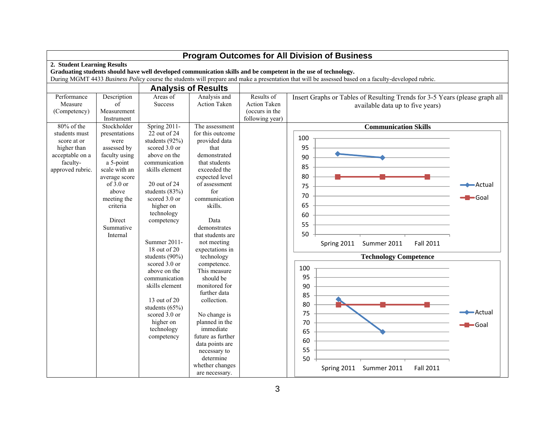|                                                                                                |                                                                                                                                                                                            |                                                                                                                                                                                                                                                    |                                                                                                                                                                                                                                                               |                                                                        | Program Outcomes for All Division of Business                                                                                                                                                                                                                          |                  |
|------------------------------------------------------------------------------------------------|--------------------------------------------------------------------------------------------------------------------------------------------------------------------------------------------|----------------------------------------------------------------------------------------------------------------------------------------------------------------------------------------------------------------------------------------------------|---------------------------------------------------------------------------------------------------------------------------------------------------------------------------------------------------------------------------------------------------------------|------------------------------------------------------------------------|------------------------------------------------------------------------------------------------------------------------------------------------------------------------------------------------------------------------------------------------------------------------|------------------|
| 2. Student Learning Results                                                                    |                                                                                                                                                                                            |                                                                                                                                                                                                                                                    |                                                                                                                                                                                                                                                               |                                                                        | Graduating students should have well developed communication skills and be competent in the use of technology.<br>During MGMT 4433 Business Policy course the students will prepare and make a presentation that will be assessed based on a faculty-developed rubric. |                  |
|                                                                                                |                                                                                                                                                                                            |                                                                                                                                                                                                                                                    | <b>Analysis of Results</b>                                                                                                                                                                                                                                    |                                                                        |                                                                                                                                                                                                                                                                        |                  |
| Performance<br>Measure<br>(Competency)<br>$80\%$ of the                                        | Description<br>of<br>Measurement<br>Instrument<br>Stockholder                                                                                                                              | Areas of<br><b>Success</b><br><b>Spring 2011-</b>                                                                                                                                                                                                  | Analysis and<br><b>Action Taken</b><br>The assessment                                                                                                                                                                                                         | Results of<br><b>Action Taken</b><br>(occurs in the<br>following year) | Insert Graphs or Tables of Resulting Trends for 3-5 Years (please graph all<br>available data up to five years)<br><b>Communication Skills</b>                                                                                                                         |                  |
| students must<br>score at or<br>higher than<br>acceptable on a<br>faculty-<br>approved rubric. | presentations<br>were<br>assessed by<br>faculty using<br>a 5-point<br>scale with an<br>average score<br>of $3.0$ or<br>above<br>meeting the<br>criteria<br>Direct<br>Summative<br>Internal | $22$ out of 24<br>students (92%)<br>scored 3.0 or<br>above on the<br>communication<br>skills element<br>20 out of 24<br>students (83%)<br>scored 3.0 or<br>higher on<br>technology<br>competency<br>Summer 2011-<br>18 out of 20<br>students (90%) | for this outcome<br>provided data<br>that<br>demonstrated<br>that students<br>exceeded the<br>expected level<br>of assessment<br>for<br>communication<br>skills.<br>Data<br>demonstrates<br>that students are<br>not meeting<br>expectations in<br>technology |                                                                        | 100<br>95<br>90<br>85<br>80<br>75<br>70<br>65<br>60<br>55<br>50<br><b>Fall 2011</b><br>Spring 2011<br>Summer 2011<br><b>Technology Competence</b>                                                                                                                      | -Actual<br>-Goal |
|                                                                                                |                                                                                                                                                                                            | scored 3.0 or<br>above on the<br>communication<br>skills element<br>$13$ out of $20$<br>students $(65%)$<br>scored 3.0 or<br>higher on<br>technology<br>competency                                                                                 | competence.<br>This measure<br>should be<br>monitored for<br>further data<br>collection.<br>No change is<br>planned in the<br>immediate<br>future as further<br>data points are<br>necessary to<br>determine<br>whether changes<br>are necessary.             |                                                                        | 100<br>95<br>90<br>85<br>80<br>75<br>70<br>65<br>60<br>55<br>50<br>Summer 2011<br><b>Fall 2011</b><br>Spring 2011                                                                                                                                                      | -Actual<br>-Goal |

## **Program Outcomes for All Division of Business**

┑

 $\Box$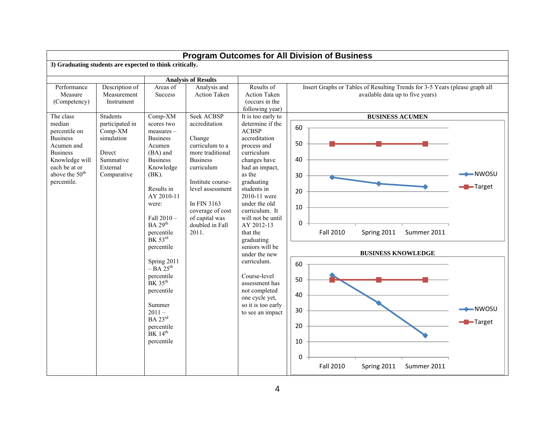| Program Outcomes for All Division of Business<br>3) Graduating students are expected to think critically.                                                   |                                                                                            |                                                                                                                                                                                                                                                                                                                                                                                                                                                                                                                                                                                                                                                  |                                                                                                                                             |                                                                                                                                                                                                                                                        |                                                                                                                                           |  |  |  |  |  |  |
|-------------------------------------------------------------------------------------------------------------------------------------------------------------|--------------------------------------------------------------------------------------------|--------------------------------------------------------------------------------------------------------------------------------------------------------------------------------------------------------------------------------------------------------------------------------------------------------------------------------------------------------------------------------------------------------------------------------------------------------------------------------------------------------------------------------------------------------------------------------------------------------------------------------------------------|---------------------------------------------------------------------------------------------------------------------------------------------|--------------------------------------------------------------------------------------------------------------------------------------------------------------------------------------------------------------------------------------------------------|-------------------------------------------------------------------------------------------------------------------------------------------|--|--|--|--|--|--|
|                                                                                                                                                             |                                                                                            |                                                                                                                                                                                                                                                                                                                                                                                                                                                                                                                                                                                                                                                  |                                                                                                                                             |                                                                                                                                                                                                                                                        |                                                                                                                                           |  |  |  |  |  |  |
|                                                                                                                                                             |                                                                                            |                                                                                                                                                                                                                                                                                                                                                                                                                                                                                                                                                                                                                                                  |                                                                                                                                             |                                                                                                                                                                                                                                                        |                                                                                                                                           |  |  |  |  |  |  |
| Performance<br>Measure<br>(Competency)<br>The class                                                                                                         | Description of<br>Measurement<br>Instrument<br><b>Students</b>                             | Areas of<br>Success<br>$Comp-XM$<br>scores two                                                                                                                                                                                                                                                                                                                                                                                                                                                                                                                                                                                                   | <b>Analysis of Results</b><br>Analysis and<br><b>Action Taken</b><br>Seek ACBSP<br>accreditation                                            | Results of<br><b>Action Taken</b><br>(occurs in the<br>following year)<br>It is too early to<br>determine if the                                                                                                                                       | Insert Graphs or Tables of Resulting Trends for 3-5 Years (please graph all<br>available data up to five years)<br><b>BUSINESS ACUMEN</b> |  |  |  |  |  |  |
| median<br>percentile on<br><b>Business</b><br>Acumen and<br><b>Business</b><br>Knowledge will<br>each be at or<br>above the 50 <sup>th</sup><br>percentile. | participated in<br>Comp-XM<br>simulation<br>Direct<br>Summative<br>External<br>Comparative | <b>ACBSP</b><br>measures -<br><b>Business</b><br>Change<br>Acumen<br>curriculum to a<br>(BA) and<br>more traditional<br><b>Business</b><br><b>Business</b><br>Knowledge<br>curriculum<br>$(BK)$ .<br>Institute course-<br>level assessment<br>Results in<br>AY 2010-11<br>In FIN 3163<br>were:<br>coverage of cost<br>Fall 2010-<br>of capital was<br><b>BA</b> 29 <sup>th</sup><br>doubled in Fall<br>2011.<br>percentile<br>$BK$ 53 $^{rd}$<br>percentile<br>Spring 2011<br>$-BA\bar{2}5^{th}$<br>percentile<br>$BK$ 35 <sup>th</sup><br>percentile<br>Summer<br>$2011 -$<br><b>BA</b> 23rd<br>percentile<br>BK 14 <sup>th</sup><br>percentile |                                                                                                                                             | accreditation<br>process and<br>curriculum<br>changes have<br>had an impact,<br>as the<br>graduating<br>students in<br>2010-11 were<br>under the old<br>curriculum. It<br>will not be until<br>AY 2012-13<br>that the<br>graduating<br>seniors will be | 60<br>50<br>40<br>-NWOSU<br>30<br>$\blacktriangleright$ Target<br>20<br>10<br>0<br><b>Fall 2010</b><br>Summer 2011<br>Spring 2011         |  |  |  |  |  |  |
|                                                                                                                                                             |                                                                                            |                                                                                                                                                                                                                                                                                                                                                                                                                                                                                                                                                                                                                                                  | under the new<br>curriculum.<br>Course-level<br>assessment has<br>not completed<br>one cycle yet,<br>so it is too early<br>to see an impact | <b>BUSINESS KNOWLEDGE</b><br>60<br>50<br>40<br>$-NWOSU$<br>30<br>$\blacksquare$ Target<br>20<br>10<br>$\Omega$<br><b>Fall 2010</b><br>Spring 2011<br>Summer 2011                                                                                       |                                                                                                                                           |  |  |  |  |  |  |

4

┐

 $\overline{\phantom{a}}$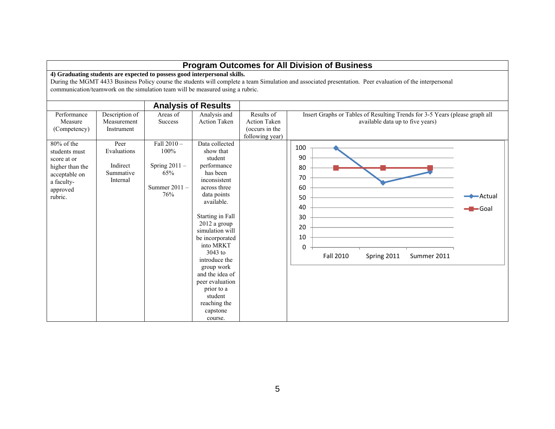|                                                                                                                        |                                                          |                                                                                                                                                             |                                                                                                                                                                                                                                                                                                                                                                         |                                                                        | <b>Program Outcomes for All Division of Business</b>                                                                                                       |
|------------------------------------------------------------------------------------------------------------------------|----------------------------------------------------------|-------------------------------------------------------------------------------------------------------------------------------------------------------------|-------------------------------------------------------------------------------------------------------------------------------------------------------------------------------------------------------------------------------------------------------------------------------------------------------------------------------------------------------------------------|------------------------------------------------------------------------|------------------------------------------------------------------------------------------------------------------------------------------------------------|
|                                                                                                                        |                                                          | 4) Graduating students are expected to possess good interpersonal skills.<br>communication/teamwork on the simulation team will be measured using a rubric. |                                                                                                                                                                                                                                                                                                                                                                         |                                                                        | During the MGMT 4433 Business Policy course the students will complete a team Simulation and associated presentation. Peer evaluation of the interpersonal |
|                                                                                                                        |                                                          |                                                                                                                                                             | <b>Analysis of Results</b>                                                                                                                                                                                                                                                                                                                                              |                                                                        |                                                                                                                                                            |
| Performance<br>Measure<br>(Competency)                                                                                 | Description of<br>Measurement<br>Instrument              | Areas $\overline{of}$<br><b>Success</b>                                                                                                                     | Analysis and<br><b>Action Taken</b>                                                                                                                                                                                                                                                                                                                                     | Results of<br><b>Action Taken</b><br>(occurs in the<br>following year) | Insert Graphs or Tables of Resulting Trends for 3-5 Years (please graph all<br>available data up to five years)                                            |
| $80\%$ of the<br>students must<br>score at or<br>higher than the<br>acceptable on<br>a faculty-<br>approved<br>rubric. | Peer<br>Evaluations<br>Indirect<br>Summative<br>Internal | Fall $2010 -$<br>100%<br>Spring $2011 -$<br>65%<br>Summer $2011 -$<br>76%                                                                                   | Data collected<br>show that<br>student<br>performance<br>has been<br>inconsistent<br>across three<br>data points<br>available.<br>Starting in Fall<br>2012 a group<br>simulation will<br>be incorporated<br>into MRKT<br>$3043$ to<br>introduce the<br>group work<br>and the idea of<br>peer evaluation<br>prior to a<br>student<br>reaching the<br>capstone<br>course. |                                                                        | 100<br>90<br>80<br>70<br>60<br>-Actual<br>50<br>40<br>∍Goal<br>30<br>20<br>10<br>$\Omega$<br>Fall 2010<br>Spring 2011<br>Summer 2011                       |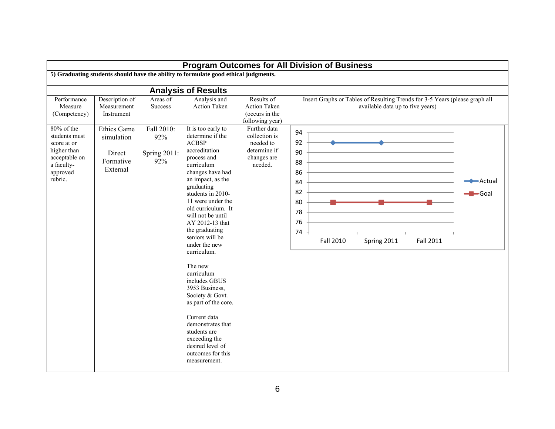|                                                                                                   |                                                                   |                                          |                                                                                                                                                                                                                                                                                                                                                                                                                                                                                                                                                          |                                                                                        | <b>Program Outcomes for All Division of Business</b>                                                            |                                        |
|---------------------------------------------------------------------------------------------------|-------------------------------------------------------------------|------------------------------------------|----------------------------------------------------------------------------------------------------------------------------------------------------------------------------------------------------------------------------------------------------------------------------------------------------------------------------------------------------------------------------------------------------------------------------------------------------------------------------------------------------------------------------------------------------------|----------------------------------------------------------------------------------------|-----------------------------------------------------------------------------------------------------------------|----------------------------------------|
|                                                                                                   |                                                                   |                                          | 5) Graduating students should have the ability to formulate good ethical judgments.                                                                                                                                                                                                                                                                                                                                                                                                                                                                      |                                                                                        |                                                                                                                 |                                        |
|                                                                                                   |                                                                   |                                          | <b>Analysis of Results</b>                                                                                                                                                                                                                                                                                                                                                                                                                                                                                                                               |                                                                                        |                                                                                                                 |                                        |
| Performance<br>Measure<br>(Competency)<br>80% of the                                              | Description of<br>Measurement<br>Instrument<br><b>Ethics Game</b> | Areas of<br><b>Success</b><br>Fall 2010: | Analysis and<br><b>Action Taken</b><br>It is too early to                                                                                                                                                                                                                                                                                                                                                                                                                                                                                                | Results of<br><b>Action Taken</b><br>(occurs in the<br>following year)<br>Further data | Insert Graphs or Tables of Resulting Trends for 3-5 Years (please graph all<br>available data up to five years) |                                        |
| students must<br>score at or<br>higher than<br>acceptable on<br>a faculty-<br>approved<br>rubric. | simulation<br>Direct<br>Formative<br>External                     | 92%<br>Spring 2011:<br>92%               | determine if the<br><b>ACBSP</b><br>accreditation<br>process and<br>curriculum<br>changes have had<br>an impact, as the<br>graduating<br>students in 2010-<br>11 were under the<br>old curriculum. It<br>will not be until<br>AY 2012-13 that<br>the graduating<br>seniors will be<br>under the new<br>curriculum.<br>The new<br>curriculum<br>includes GBUS<br>3953 Business,<br>Society & Govt.<br>as part of the core.<br>Current data<br>demonstrates that<br>students are<br>exceeding the<br>desired level of<br>outcomes for this<br>measurement. | collection is<br>needed to<br>determine if<br>changes are<br>needed.                   | 94<br>92<br>90<br>88<br>86<br>84<br>82<br>80<br>78<br>76<br>74<br>Fall 2010<br>Fall 2011<br>Spring 2011         | $\rightarrow$ Actual<br><b>-B</b> Goal |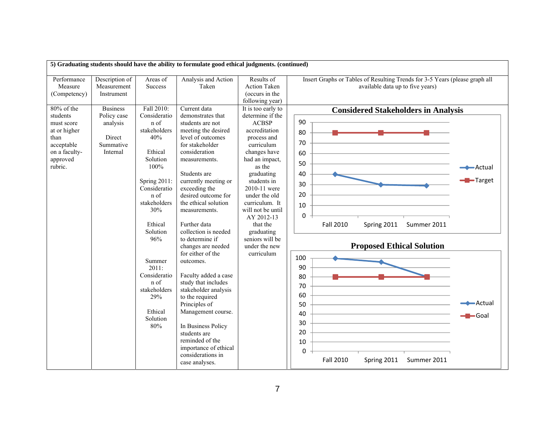|                                                                                                                       |                                                                               |                                                                                              | 5) Graduating students should have the ability to formulate good ethical judgments. (continued)                                                                                                                                                                                          |                                                                                                                                                                 |                                                                                                                                                                   |  |
|-----------------------------------------------------------------------------------------------------------------------|-------------------------------------------------------------------------------|----------------------------------------------------------------------------------------------|------------------------------------------------------------------------------------------------------------------------------------------------------------------------------------------------------------------------------------------------------------------------------------------|-----------------------------------------------------------------------------------------------------------------------------------------------------------------|-------------------------------------------------------------------------------------------------------------------------------------------------------------------|--|
| Performance<br>Measure<br>(Competency)                                                                                | Description of<br>Measurement<br>Instrument                                   | Areas of<br><b>Success</b>                                                                   | Analysis and Action<br>Taken                                                                                                                                                                                                                                                             | Results of<br>Action Taken<br>(occurs in the<br>following year)                                                                                                 | Insert Graphs or Tables of Resulting Trends for 3-5 Years (please graph all<br>available data up to five years)                                                   |  |
| $80\%$ of the<br>students<br>must score<br>at or higher<br>than<br>acceptable<br>on a faculty-<br>approved<br>rubric. | <b>Business</b><br>Policy case<br>analysis<br>Direct<br>Summative<br>Internal | Fall 2010:<br>Consideratio<br>n of<br>stakeholders<br>40%<br>Ethical<br>Solution<br>100%     | Current data<br>demonstrates that<br>students are not<br>meeting the desired<br>level of outcomes<br>for stakeholder<br>consideration<br>measurements.<br>Students are                                                                                                                   | It is too early to<br>determine if the<br><b>ACBSP</b><br>accreditation<br>process and<br>curriculum<br>changes have<br>had an impact,<br>as the<br>graduating  | <b>Considered Stakeholders in Analysis</b><br>90<br>80<br>70<br>60<br>50<br>— Actual<br>40                                                                        |  |
|                                                                                                                       |                                                                               | Spring $2011$ :<br>Consideratio<br>n of<br>stakeholders<br>30%<br>Ethical<br>Solution<br>96% | currently meeting or<br>exceeding the<br>desired outcome for<br>the ethical solution<br>measurements.<br>Further data<br>collection is needed<br>to determine if<br>changes are needed                                                                                                   | students in<br>2010-11 were<br>under the old<br>curriculum. It<br>will not be until<br>AY 2012-13<br>that the<br>graduating<br>seniors will be<br>under the new | Target<br>30<br>20<br>10<br>$\mathbf 0$<br><b>Fall 2010</b><br>Spring 2011<br>Summer 2011<br><b>Proposed Ethical Solution</b>                                     |  |
|                                                                                                                       |                                                                               | Summer<br>2011:<br>Consideratio<br>n of<br>stakeholders<br>29%<br>Ethical<br>Solution<br>80% | for either of the<br>outcomes.<br>Faculty added a case<br>study that includes<br>stakeholder analysis<br>to the required<br>Principles of<br>Management course.<br>In Business Policy<br>students are<br>reminded of the<br>importance of ethical<br>considerations in<br>case analyses. | curriculum                                                                                                                                                      | 100<br>90<br>80<br>70<br>60<br><b>←</b> Actual<br>50<br>40<br>$\blacktriangleright$ Goal<br>30<br>20<br>10<br>0<br><b>Fall 2010</b><br>Spring 2011<br>Summer 2011 |  |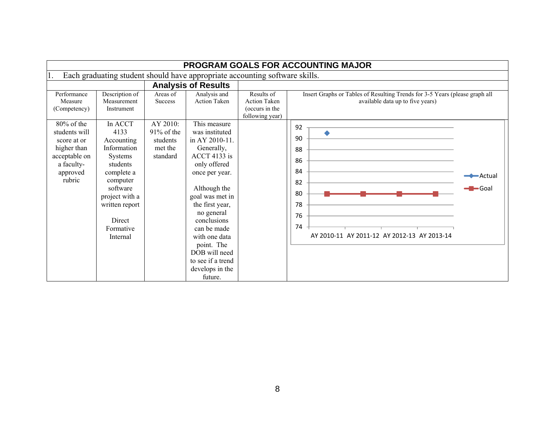|                                                                                                                |                                                                                                                                                                                         |                                                              |                                                                                                                                                                                                                                                                                                                         |                                                                        | <b>PROGRAM GOALS FOR ACCOUNTING MAJOR</b>                                                                       |                                             |
|----------------------------------------------------------------------------------------------------------------|-----------------------------------------------------------------------------------------------------------------------------------------------------------------------------------------|--------------------------------------------------------------|-------------------------------------------------------------------------------------------------------------------------------------------------------------------------------------------------------------------------------------------------------------------------------------------------------------------------|------------------------------------------------------------------------|-----------------------------------------------------------------------------------------------------------------|---------------------------------------------|
|                                                                                                                |                                                                                                                                                                                         |                                                              | Each graduating student should have appropriate accounting software skills.                                                                                                                                                                                                                                             |                                                                        |                                                                                                                 |                                             |
|                                                                                                                |                                                                                                                                                                                         |                                                              | <b>Analysis of Results</b>                                                                                                                                                                                                                                                                                              |                                                                        |                                                                                                                 |                                             |
| Performance<br>Measure<br>(Competency)                                                                         | Description of<br>Measurement<br>Instrument                                                                                                                                             | Areas of<br><b>Success</b>                                   | Analysis and<br><b>Action Taken</b>                                                                                                                                                                                                                                                                                     | Results of<br><b>Action Taken</b><br>(occurs in the<br>following year) | Insert Graphs or Tables of Resulting Trends for 3-5 Years (please graph all<br>available data up to five years) |                                             |
| 80% of the<br>students will<br>score at or<br>higher than<br>acceptable on<br>a faculty-<br>approved<br>rubric | In ACCT<br>4133<br>Accounting<br>Information<br><b>Systems</b><br>students<br>complete a<br>computer<br>software<br>project with a<br>written report<br>Direct<br>Formative<br>Internal | AY 2010:<br>$91\%$ of the<br>students<br>met the<br>standard | This measure<br>was instituted<br>in AY 2010-11.<br>Generally,<br>$ACCT$ 4133 is<br>only offered<br>once per year.<br>Although the<br>goal was met in<br>the first year,<br>no general<br>conclusions<br>can be made<br>with one data<br>point. The<br>DOB will need<br>to see if a trend<br>develops in the<br>future. |                                                                        | 92<br>90<br>88<br>86<br>84<br>82<br>80<br>78<br>76<br>74<br>AY 2010-11 AY 2011-12 AY 2012-13 AY 2013-14         | <del>◆ A</del> ctual<br>$\blacksquare$ Goal |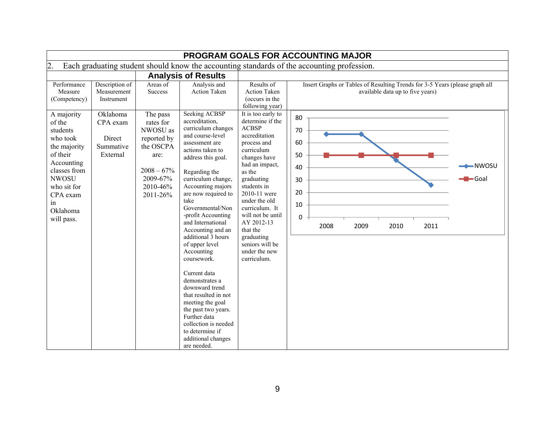|                                                                                                                                                                     | PROGRAM GOALS FOR ACCOUNTING MAJOR                      |                                                                                                                |                                                                                                                                                                                                                                                                                                                                                                                                                                                      |                                                                                                                                                                                                                                                                                                                            |                                                                                                                       |                 |  |  |  |  |  |  |  |
|---------------------------------------------------------------------------------------------------------------------------------------------------------------------|---------------------------------------------------------|----------------------------------------------------------------------------------------------------------------|------------------------------------------------------------------------------------------------------------------------------------------------------------------------------------------------------------------------------------------------------------------------------------------------------------------------------------------------------------------------------------------------------------------------------------------------------|----------------------------------------------------------------------------------------------------------------------------------------------------------------------------------------------------------------------------------------------------------------------------------------------------------------------------|-----------------------------------------------------------------------------------------------------------------------|-----------------|--|--|--|--|--|--|--|
| $\overline{2}$                                                                                                                                                      |                                                         |                                                                                                                |                                                                                                                                                                                                                                                                                                                                                                                                                                                      |                                                                                                                                                                                                                                                                                                                            | Each graduating student should know the accounting standards of the accounting profession.                            |                 |  |  |  |  |  |  |  |
|                                                                                                                                                                     |                                                         |                                                                                                                | <b>Analysis of Results</b>                                                                                                                                                                                                                                                                                                                                                                                                                           |                                                                                                                                                                                                                                                                                                                            |                                                                                                                       |                 |  |  |  |  |  |  |  |
| Performance<br>Measure<br>(Competency)<br>A majority                                                                                                                | Description of<br>Measurement<br>Instrument<br>Oklahoma | Areas of<br>Success<br>The pass                                                                                | Analysis and<br><b>Action Taken</b><br><b>Seeking ACBSP</b>                                                                                                                                                                                                                                                                                                                                                                                          | Results of<br><b>Action Taken</b><br>(occurs in the<br>following year)<br>It is too early to                                                                                                                                                                                                                               | Insert Graphs or Tables of Resulting Trends for 3-5 Years (please graph all<br>available data up to five years)<br>80 |                 |  |  |  |  |  |  |  |
| of the<br>students<br>who took<br>the majority<br>of their<br>Accounting<br>classes from<br><b>NWOSU</b><br>who sit for<br>CPA exam<br>in<br>Oklahoma<br>will pass. | CPA exam<br>Direct<br>Summative<br>External             | rates for<br>NWOSU as<br>reported by<br>the OSCPA<br>are:<br>$2008 - 67\%$<br>2009-67%<br>2010-46%<br>2011-26% | accreditation.<br>curriculum changes<br>and course-level<br>assessment are<br>actions taken to<br>address this goal.<br>Regarding the<br>curriculum change,<br>Accounting majors<br>are now required to<br>take<br>Governmental/Non<br>-profit Accounting<br>and International<br>Accounting and an<br>additional 3 hours<br>of upper level<br>Accounting<br>coursework.<br>Current data<br>demonstrates a<br>downward trend<br>that resulted in not | determine if the<br><b>ACBSP</b><br>accreditation<br>process and<br>curriculum<br>changes have<br>had an impact,<br>as the<br>graduating<br>students in<br>2010-11 were<br>under the old<br>curriculum. It<br>will not be until<br>AY 2012-13<br>that the<br>graduating<br>seniors will be<br>under the new<br>curriculum. | 70<br>60<br>50<br>40<br>30<br>20<br>10<br>0<br>2008<br>2009<br>2010<br>2011                                           | -NWOSU<br>-Goal |  |  |  |  |  |  |  |
|                                                                                                                                                                     |                                                         |                                                                                                                | meeting the goal<br>the past two years.<br>Further data<br>collection is needed<br>to determine if<br>additional changes<br>are needed.                                                                                                                                                                                                                                                                                                              |                                                                                                                                                                                                                                                                                                                            |                                                                                                                       |                 |  |  |  |  |  |  |  |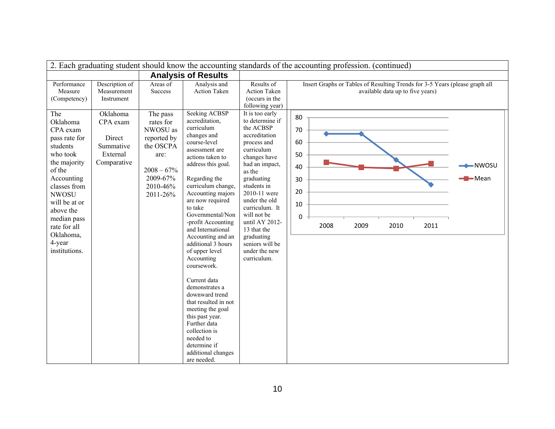| 2. Each graduating student should know the accounting standards of the accounting profession. (continued)                                                                                                                                  |                                                            |                                                                                                                |                                                                                                                                                                                                                                                                                                                                                                                                                                                                                                                                                                                                   |                                                                                                                                                                                                                                                                                                                         |                                                                                                                 |  |  |  |  |  |
|--------------------------------------------------------------------------------------------------------------------------------------------------------------------------------------------------------------------------------------------|------------------------------------------------------------|----------------------------------------------------------------------------------------------------------------|---------------------------------------------------------------------------------------------------------------------------------------------------------------------------------------------------------------------------------------------------------------------------------------------------------------------------------------------------------------------------------------------------------------------------------------------------------------------------------------------------------------------------------------------------------------------------------------------------|-------------------------------------------------------------------------------------------------------------------------------------------------------------------------------------------------------------------------------------------------------------------------------------------------------------------------|-----------------------------------------------------------------------------------------------------------------|--|--|--|--|--|
|                                                                                                                                                                                                                                            |                                                            |                                                                                                                | <b>Analysis of Results</b>                                                                                                                                                                                                                                                                                                                                                                                                                                                                                                                                                                        |                                                                                                                                                                                                                                                                                                                         |                                                                                                                 |  |  |  |  |  |
| Performance<br>Measure<br>(Competency)<br>The                                                                                                                                                                                              | Description of<br>Measurement<br>Instrument<br>Oklahoma    | Areas of<br><b>Success</b><br>The pass                                                                         | Analysis and<br><b>Action Taken</b><br><b>Seeking ACBSP</b>                                                                                                                                                                                                                                                                                                                                                                                                                                                                                                                                       | Results of<br><b>Action Taken</b><br>(occurs in the<br>following year)<br>It is too early                                                                                                                                                                                                                               | Insert Graphs or Tables of Resulting Trends for 3-5 Years (please graph all<br>available data up to five years) |  |  |  |  |  |
| Oklahoma<br>CPA exam<br>pass rate for<br>students<br>who took<br>the majority<br>of the<br>Accounting<br>classes from<br><b>NWOSU</b><br>will be at or<br>above the<br>median pass<br>rate for all<br>Oklahoma,<br>4-year<br>institutions. | CPA exam<br>Direct<br>Summative<br>External<br>Comparative | rates for<br>NWOSU as<br>reported by<br>the OSCPA<br>are:<br>$2008 - 67\%$<br>2009-67%<br>2010-46%<br>2011-26% | accreditation.<br>curriculum<br>changes and<br>course-level<br>assessment are<br>actions taken to<br>address this goal.<br>Regarding the<br>curriculum change,<br>Accounting majors<br>are now required<br>to take<br>Governmental/Non<br>-profit Accounting<br>and International<br>Accounting and an<br>additional 3 hours<br>of upper level<br>Accounting<br>coursework.<br>Current data<br>demonstrates a<br>downward trend<br>that resulted in not<br>meeting the goal<br>this past year.<br>Further data<br>collection is<br>needed to<br>determine if<br>additional changes<br>are needed. | to determine if<br>the ACBSP<br>accreditation<br>process and<br>curriculum<br>changes have<br>had an impact,<br>as the<br>graduating<br>students in<br>2010-11 were<br>under the old<br>curriculum. It<br>will not be<br>until AY 2012-<br>13 that the<br>graduating<br>seniors will be<br>under the new<br>curriculum. | 80<br>70<br>60<br>50<br>-NWOSU<br>40<br>-Mean<br>30<br>20<br>10<br>$\mathbf 0$<br>2008<br>2009<br>2010<br>2011  |  |  |  |  |  |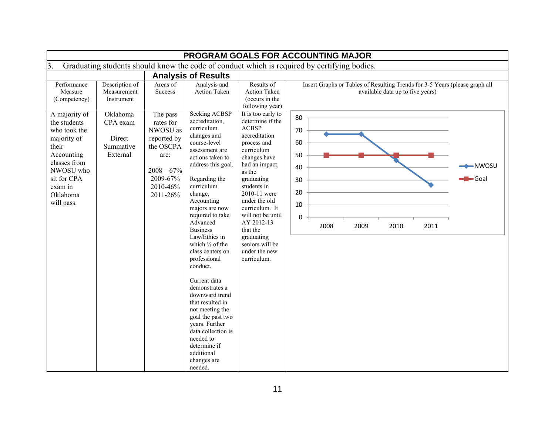| <b>PROGRAM GOALS FOR ACCOUNTING MAJOR</b>                                                                                                           |                                                         |                                                                                                                |                                                                                                                                                                                                                                                                                                                                                                                                                                                                                                                                                                |                                                                                                                                                                                                                                                                                                        |                                                                                                                        |  |  |  |  |  |  |
|-----------------------------------------------------------------------------------------------------------------------------------------------------|---------------------------------------------------------|----------------------------------------------------------------------------------------------------------------|----------------------------------------------------------------------------------------------------------------------------------------------------------------------------------------------------------------------------------------------------------------------------------------------------------------------------------------------------------------------------------------------------------------------------------------------------------------------------------------------------------------------------------------------------------------|--------------------------------------------------------------------------------------------------------------------------------------------------------------------------------------------------------------------------------------------------------------------------------------------------------|------------------------------------------------------------------------------------------------------------------------|--|--|--|--|--|--|
| 3.                                                                                                                                                  |                                                         |                                                                                                                |                                                                                                                                                                                                                                                                                                                                                                                                                                                                                                                                                                |                                                                                                                                                                                                                                                                                                        | Graduating students should know the code of conduct which is required by certifying bodies.                            |  |  |  |  |  |  |
|                                                                                                                                                     |                                                         |                                                                                                                | <b>Analysis of Results</b>                                                                                                                                                                                                                                                                                                                                                                                                                                                                                                                                     |                                                                                                                                                                                                                                                                                                        |                                                                                                                        |  |  |  |  |  |  |
| Performance<br>Measure<br>(Competency)<br>A majority of                                                                                             | Description of<br>Measurement<br>Instrument<br>Oklahoma | Areas of<br>Success<br>The pass                                                                                | Analysis and<br>Action Taken<br><b>Seeking ACBSP</b><br>accreditation,                                                                                                                                                                                                                                                                                                                                                                                                                                                                                         | Results of<br><b>Action Taken</b><br>(occurs in the<br>following year)<br>It is too early to<br>determine if the                                                                                                                                                                                       | Insert Graphs or Tables of Resulting Trends for 3-5 Years (please graph all<br>available data up to five years)<br>80  |  |  |  |  |  |  |
| the students<br>who took the<br>majority of<br>their<br>Accounting<br>classes from<br>NWOSU who<br>sit for CPA<br>exam in<br>Oklahoma<br>will pass. | CPA exam<br>Direct<br>Summative<br>External             | rates for<br>NWOSU as<br>reported by<br>the OSCPA<br>are:<br>$2008 - 67\%$<br>2009-67%<br>2010-46%<br>2011-26% | curriculum<br>changes and<br>course-level<br>assessment are<br>actions taken to<br>address this goal.<br>Regarding the<br>curriculum<br>change,<br>Accounting<br>majors are now<br>required to take<br>Advanced<br><b>Business</b><br>Law/Ethics in<br>which $\frac{1}{3}$ of the<br>class centers on<br>professional<br>conduct.<br>Current data<br>demonstrates a<br>downward trend<br>that resulted in<br>not meeting the<br>goal the past two<br>years. Further<br>data collection is<br>needed to<br>determine if<br>additional<br>changes are<br>needed. | <b>ACBSP</b><br>accreditation<br>process and<br>curriculum<br>changes have<br>had an impact,<br>as the<br>graduating<br>students in<br>2010-11 were<br>under the old<br>curriculum. It<br>will not be until<br>AY 2012-13<br>that the<br>graduating<br>seniors will be<br>under the new<br>curriculum. | 70<br>60<br>50<br>$-$ NWOSU<br>40<br>$\blacktriangleright$ Goal<br>30<br>20<br>10<br>0<br>2008<br>2009<br>2010<br>2011 |  |  |  |  |  |  |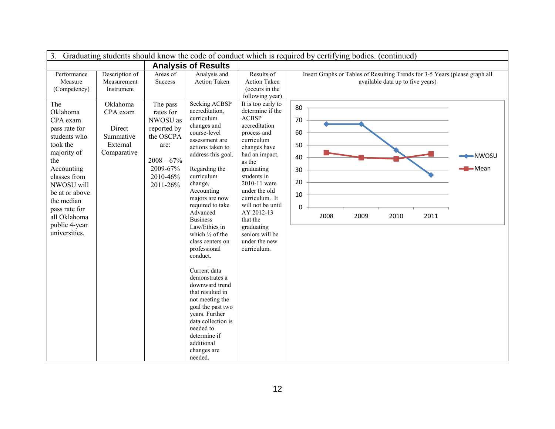| 3 <sub>1</sub>                                                                                                                                                                                                                                | Graduating students should know the code of conduct which is required by certifying bodies. (continued) |                                                                                                                           |                                                                                                                                                                                                                                                                                                                                                                                                                                                                                                                                                                                                          |                                                                                                                                                                                                                                                                                                                                                  |                                                             |      |      |                                  |      |                                                                             |  |
|-----------------------------------------------------------------------------------------------------------------------------------------------------------------------------------------------------------------------------------------------|---------------------------------------------------------------------------------------------------------|---------------------------------------------------------------------------------------------------------------------------|----------------------------------------------------------------------------------------------------------------------------------------------------------------------------------------------------------------------------------------------------------------------------------------------------------------------------------------------------------------------------------------------------------------------------------------------------------------------------------------------------------------------------------------------------------------------------------------------------------|--------------------------------------------------------------------------------------------------------------------------------------------------------------------------------------------------------------------------------------------------------------------------------------------------------------------------------------------------|-------------------------------------------------------------|------|------|----------------------------------|------|-----------------------------------------------------------------------------|--|
|                                                                                                                                                                                                                                               |                                                                                                         |                                                                                                                           | <b>Analysis of Results</b>                                                                                                                                                                                                                                                                                                                                                                                                                                                                                                                                                                               |                                                                                                                                                                                                                                                                                                                                                  |                                                             |      |      |                                  |      |                                                                             |  |
| Performance<br>Measure<br>(Competency)                                                                                                                                                                                                        | Description of<br>Measurement<br>Instrument                                                             | Areas of<br><b>Success</b>                                                                                                | Analysis and<br><b>Action Taken</b>                                                                                                                                                                                                                                                                                                                                                                                                                                                                                                                                                                      | Results of<br><b>Action Taken</b><br>(occurs in the<br>following year)                                                                                                                                                                                                                                                                           |                                                             |      |      | available data up to five years) |      | Insert Graphs or Tables of Resulting Trends for 3-5 Years (please graph all |  |
| The<br>Oklahoma<br>CPA exam<br>pass rate for<br>students who<br>took the<br>majority of<br>the<br>Accounting<br>classes from<br>NWOSU will<br>be at or above<br>the median<br>pass rate for<br>all Oklahoma<br>public 4-year<br>universities. | Oklahoma<br>CPA exam<br>Direct<br>Summative<br>External<br>Comparative                                  | The pass<br>rates for<br>NWOSU as<br>reported by<br>the OSCPA<br>are:<br>$2008 - 67%$<br>2009-67%<br>2010-46%<br>2011-26% | <b>Seeking ACBSP</b><br>accreditation,<br>curriculum<br>changes and<br>course-level<br>assessment are<br>actions taken to<br>address this goal.<br>Regarding the<br>curriculum<br>change,<br>Accounting<br>majors are now<br>required to take<br>Advanced<br><b>Business</b><br>Law/Ethics in<br>which $\frac{1}{3}$ of the<br>class centers on<br>professional<br>conduct.<br>Current data<br>demonstrates a<br>downward trend<br>that resulted in<br>not meeting the<br>goal the past two<br>years. Further<br>data collection is<br>needed to<br>determine if<br>additional<br>changes are<br>needed. | It is too early to<br>determine if the<br><b>ACBSP</b><br>accreditation<br>process and<br>curriculum<br>changes have<br>had an impact,<br>as the<br>graduating<br>students in<br>2010-11 were<br>under the old<br>curriculum. It<br>will not be until<br>AY 2012-13<br>that the<br>graduating<br>seniors will be<br>under the new<br>curriculum. | 80<br>70<br>60<br>50<br>40<br>30<br>20<br>10<br>$\mathbf 0$ | 2008 | 2009 | 2010                             | 2011 | -NWOSU<br>$-Mean$                                                           |  |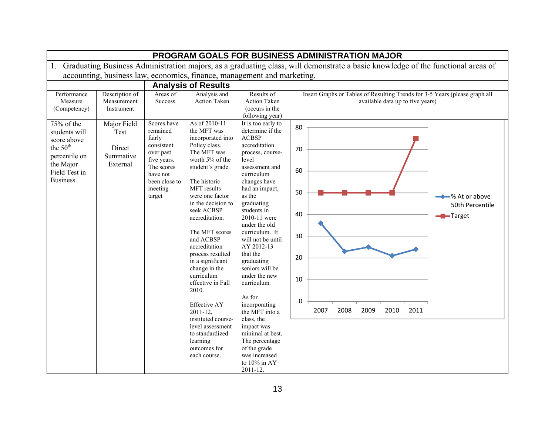|                                                                                                                                  | <b>PROGRAM GOALS FOR BUSINESS ADMINISTRATION MAJOR</b> |                                                                                                                                             |                                                                                                                                                                                                                                                                                                                                                                                                                                                                                                                                        |                                                                                                                                                                                                                                                                                                                                                                                                                                                                                                                                                              |                                                                                                                                                     |  |  |  |
|----------------------------------------------------------------------------------------------------------------------------------|--------------------------------------------------------|---------------------------------------------------------------------------------------------------------------------------------------------|----------------------------------------------------------------------------------------------------------------------------------------------------------------------------------------------------------------------------------------------------------------------------------------------------------------------------------------------------------------------------------------------------------------------------------------------------------------------------------------------------------------------------------------|--------------------------------------------------------------------------------------------------------------------------------------------------------------------------------------------------------------------------------------------------------------------------------------------------------------------------------------------------------------------------------------------------------------------------------------------------------------------------------------------------------------------------------------------------------------|-----------------------------------------------------------------------------------------------------------------------------------------------------|--|--|--|
| $1_{\cdot}$                                                                                                                      |                                                        |                                                                                                                                             |                                                                                                                                                                                                                                                                                                                                                                                                                                                                                                                                        |                                                                                                                                                                                                                                                                                                                                                                                                                                                                                                                                                              | Graduating Business Administration majors, as a graduating class, will demonstrate a basic knowledge of the functional areas of                     |  |  |  |
|                                                                                                                                  |                                                        |                                                                                                                                             | accounting, business law, economics, finance, management and marketing.                                                                                                                                                                                                                                                                                                                                                                                                                                                                |                                                                                                                                                                                                                                                                                                                                                                                                                                                                                                                                                              |                                                                                                                                                     |  |  |  |
|                                                                                                                                  |                                                        |                                                                                                                                             | <b>Analysis of Results</b>                                                                                                                                                                                                                                                                                                                                                                                                                                                                                                             |                                                                                                                                                                                                                                                                                                                                                                                                                                                                                                                                                              |                                                                                                                                                     |  |  |  |
| Performance<br>Measure<br>(Competency)                                                                                           | Description of<br>Measurement<br>Instrument            | Areas of<br>Success                                                                                                                         | Analysis and<br><b>Action Taken</b>                                                                                                                                                                                                                                                                                                                                                                                                                                                                                                    | Results of<br>Action Taken<br>(occurs in the<br>following year)                                                                                                                                                                                                                                                                                                                                                                                                                                                                                              | Insert Graphs or Tables of Resulting Trends for 3-5 Years (please graph all<br>available data up to five years)                                     |  |  |  |
| $75%$ of the<br>students will<br>score above<br>the 50 <sup>th</sup><br>percentile on<br>the Major<br>Field Test in<br>Business. | Major Field<br>Test<br>Direct<br>Summative<br>External | Scores have<br>remained<br>fairly<br>consistent<br>over past<br>five years.<br>The scores<br>have not<br>been close to<br>meeting<br>target | As of 2010-11<br>the MFT was<br>incorporated into<br>Policy class.<br>The MFT was<br>worth 5% of the<br>student's grade.<br>The historic<br>MFT results<br>were one factor<br>in the decision to<br>seek ACBSP<br>accreditation.<br>The MFT scores<br>and ACBSP<br>accreditation<br>process resulted<br>in a significant<br>change in the<br>curriculum<br>effective in Fall<br>2010.<br><b>Effective AY</b><br>$2011 - 12$ ,<br>instituted course-<br>level assessment<br>to standardized<br>learning<br>outcomes for<br>each course. | It is too early to<br>determine if the<br><b>ACBSP</b><br>accreditation<br>process, course-<br>level<br>assessment and<br>curriculum<br>changes have<br>had an impact,<br>as the<br>graduating<br>students in<br>2010-11 were<br>under the old<br>curriculum. It<br>will not be until<br>AY 2012-13<br>that the<br>graduating<br>seniors will be<br>under the new<br>curriculum.<br>As for<br>incorporating<br>the MFT into a<br>class, the<br>impact was<br>minimal at best.<br>The percentage<br>of the grade<br>was increased<br>to 10% in AY<br>2011-12. | 80<br>70<br>60<br>50<br>←% At or above<br>50th Percentile<br>40<br>- <b>-</b> Target<br>30<br>20<br>10<br>0<br>2008<br>2007<br>2009<br>2010<br>2011 |  |  |  |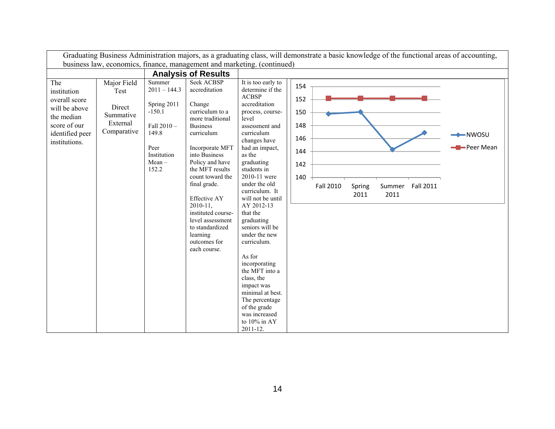|                                                                                                                        |                                                                       |                                                                                                                        |                                                                                                                                                                                                                                                                                                                                                                                     |                                                                                                                                                                                                                                                                                                                                                                                                                                                                                                                                                              | Graduating Business Administration majors, as a graduating class, will demonstrate a basic knowledge of the functional areas of accounting, |                      |
|------------------------------------------------------------------------------------------------------------------------|-----------------------------------------------------------------------|------------------------------------------------------------------------------------------------------------------------|-------------------------------------------------------------------------------------------------------------------------------------------------------------------------------------------------------------------------------------------------------------------------------------------------------------------------------------------------------------------------------------|--------------------------------------------------------------------------------------------------------------------------------------------------------------------------------------------------------------------------------------------------------------------------------------------------------------------------------------------------------------------------------------------------------------------------------------------------------------------------------------------------------------------------------------------------------------|---------------------------------------------------------------------------------------------------------------------------------------------|----------------------|
|                                                                                                                        |                                                                       |                                                                                                                        | business law, economics, finance, management and marketing. (continued)                                                                                                                                                                                                                                                                                                             |                                                                                                                                                                                                                                                                                                                                                                                                                                                                                                                                                              |                                                                                                                                             |                      |
|                                                                                                                        |                                                                       |                                                                                                                        | <b>Analysis of Results</b>                                                                                                                                                                                                                                                                                                                                                          |                                                                                                                                                                                                                                                                                                                                                                                                                                                                                                                                                              |                                                                                                                                             |                      |
| The<br>institution<br>overall score<br>will be above<br>the median<br>score of our<br>identified peer<br>institutions. | Major Field<br>Test<br>Direct<br>Summative<br>External<br>Comparative | Summer<br>$2011 - 144.3$<br>Spring 2011<br>$-150.1$<br>Fall 2010-<br>149.8<br>Peer<br>Institution<br>$Mean -$<br>152.2 | <b>Seek ACBSP</b><br>accreditation<br>Change<br>curriculum to a<br>more traditional<br><b>Business</b><br>curriculum<br>Incorporate MFT<br>into Business<br>Policy and have<br>the MFT results<br>count toward the<br>final grade.<br><b>Effective AY</b><br>$2010 - 11$ ,<br>instituted course-<br>level assessment<br>to standardized<br>learning<br>outcomes for<br>each course. | It is too early to<br>determine if the<br><b>ACBSP</b><br>accreditation<br>process, course-<br>level<br>assessment and<br>curriculum<br>changes have<br>had an impact,<br>as the<br>graduating<br>students in<br>2010-11 were<br>under the old<br>curriculum. It<br>will not be until<br>AY 2012-13<br>that the<br>graduating<br>seniors will be<br>under the new<br>curriculum.<br>As for<br>incorporating<br>the MFT into a<br>class, the<br>impact was<br>minimal at best.<br>The percentage<br>of the grade<br>was increased<br>to 10% in AY<br>2011-12. | 154<br>152<br>150<br>148<br>146<br>144<br>142<br>140<br><b>Fall 2010</b><br>Fall 2011<br>Summer<br>Spring<br>2011<br>2011                   | -NWOSU<br>-Peer Mean |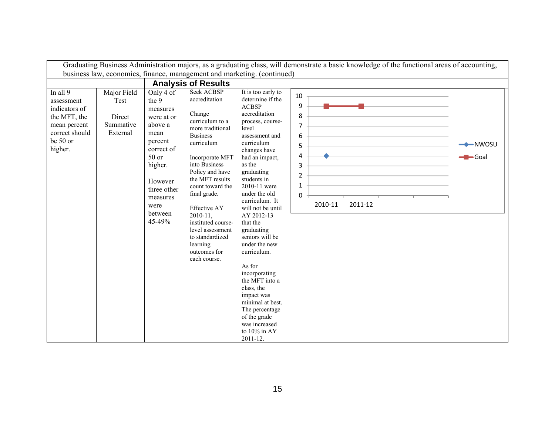|                                                                                                                  |                                                        |                                                                                                                                                                                 |                                                                                                                                                                                                                                                                                                                                                                                    |                                                                                                                                                                                                                                                                                                                                                                                                                                                                                                                                                                 | Graduating Business Administration majors, as a graduating class, will demonstrate a basic knowledge of the functional areas of accounting, |                    |
|------------------------------------------------------------------------------------------------------------------|--------------------------------------------------------|---------------------------------------------------------------------------------------------------------------------------------------------------------------------------------|------------------------------------------------------------------------------------------------------------------------------------------------------------------------------------------------------------------------------------------------------------------------------------------------------------------------------------------------------------------------------------|-----------------------------------------------------------------------------------------------------------------------------------------------------------------------------------------------------------------------------------------------------------------------------------------------------------------------------------------------------------------------------------------------------------------------------------------------------------------------------------------------------------------------------------------------------------------|---------------------------------------------------------------------------------------------------------------------------------------------|--------------------|
|                                                                                                                  |                                                        |                                                                                                                                                                                 | business law, economics, finance, management and marketing. (continued)                                                                                                                                                                                                                                                                                                            |                                                                                                                                                                                                                                                                                                                                                                                                                                                                                                                                                                 |                                                                                                                                             |                    |
|                                                                                                                  |                                                        |                                                                                                                                                                                 | <b>Analysis of Results</b>                                                                                                                                                                                                                                                                                                                                                         |                                                                                                                                                                                                                                                                                                                                                                                                                                                                                                                                                                 |                                                                                                                                             |                    |
| In all 9<br>assessment<br>indicators of<br>the MFT, the<br>mean percent<br>correct should<br>be 50 or<br>higher. | Major Field<br>Test<br>Direct<br>Summative<br>External | Only 4 of<br>the 9<br>measures<br>were at or<br>above a<br>mean<br>percent<br>correct of<br>50 or<br>higher.<br>However<br>three other<br>measures<br>were<br>between<br>45-49% | <b>Seek ACBSP</b><br>accreditation<br>Change<br>curriculum to a<br>more traditional<br><b>Business</b><br>curriculum<br>Incorporate MFT<br>into Business<br>Policy and have<br>the MFT results<br>count toward the<br>final grade.<br><b>Effective AY</b><br>$2010 - 11,$<br>instituted course-<br>level assessment<br>to standardized<br>learning<br>outcomes for<br>each course. | It is too early to<br>determine if the<br><b>ACBSP</b><br>accreditation<br>process, course-<br>level<br>assessment and<br>curriculum<br>changes have<br>had an impact,<br>as the<br>graduating<br>students in<br>2010-11 were<br>under the old<br>curriculum. It<br>will not be until<br>AY 2012-13<br>that the<br>graduating<br>seniors will be<br>under the new<br>curriculum.<br>As for<br>incorporating<br>the MFT into a<br>class, the<br>impact was<br>minimal at best.<br>The percentage<br>of the grade<br>was increased<br>to $10\%$ in AY<br>2011-12. | 10<br>9<br>8<br>$\overline{7}$<br>6<br>5<br>4<br>3<br>$\overline{2}$<br>$\mathbf{1}$<br>0<br>2010-11<br>2011-12                             | ← NWOSU<br>$-Goal$ |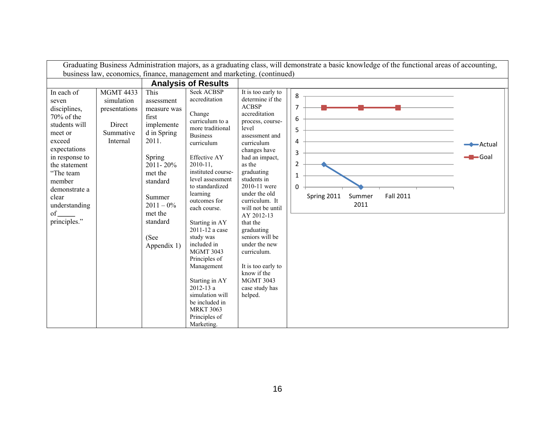|                                                                                                                                                                                                                                       |                                                                                    |                                                                                                                                                                                                            |                                                                                                                                                                                                                                                                                                                                                                                                                                                                                                                    |                                                                                                                                                                                                                                                                                                                                                                                                                                                                        | Graduating Business Administration majors, as a graduating class, will demonstrate a basic knowledge of the functional areas of accounting, |                                 |
|---------------------------------------------------------------------------------------------------------------------------------------------------------------------------------------------------------------------------------------|------------------------------------------------------------------------------------|------------------------------------------------------------------------------------------------------------------------------------------------------------------------------------------------------------|--------------------------------------------------------------------------------------------------------------------------------------------------------------------------------------------------------------------------------------------------------------------------------------------------------------------------------------------------------------------------------------------------------------------------------------------------------------------------------------------------------------------|------------------------------------------------------------------------------------------------------------------------------------------------------------------------------------------------------------------------------------------------------------------------------------------------------------------------------------------------------------------------------------------------------------------------------------------------------------------------|---------------------------------------------------------------------------------------------------------------------------------------------|---------------------------------|
|                                                                                                                                                                                                                                       |                                                                                    |                                                                                                                                                                                                            | business law, economics, finance, management and marketing. (continued)                                                                                                                                                                                                                                                                                                                                                                                                                                            |                                                                                                                                                                                                                                                                                                                                                                                                                                                                        |                                                                                                                                             |                                 |
|                                                                                                                                                                                                                                       |                                                                                    |                                                                                                                                                                                                            | <b>Analysis of Results</b>                                                                                                                                                                                                                                                                                                                                                                                                                                                                                         |                                                                                                                                                                                                                                                                                                                                                                                                                                                                        |                                                                                                                                             |                                 |
| In each of<br>seven<br>disciplines,<br>$70\%$ of the<br>students will<br>meet or<br>exceed<br>expectations<br>in response to<br>the statement<br>"The team<br>member<br>demonstrate a<br>clear<br>understanding<br>of<br>principles." | <b>MGMT 4433</b><br>simulation<br>presentations<br>Direct<br>Summative<br>Internal | This<br>assessment<br>measure was<br>first<br>implemente<br>d in Spring<br>2011.<br>Spring<br>$2011 - 20\%$<br>met the<br>standard<br>Summer<br>$2011 - 0\%$<br>met the<br>standard<br>(See<br>Appendix 1) | <b>Seek ACBSP</b><br>accreditation<br>Change<br>curriculum to a<br>more traditional<br><b>Business</b><br>curriculum<br><b>Effective AY</b><br>$2010 - 11$ ,<br>instituted course-<br>level assessment<br>to standardized<br>learning<br>outcomes for<br>each course.<br>Starting in AY<br>2011-12 a case<br>study was<br>included in<br><b>MGMT 3043</b><br>Principles of<br>Management<br>Starting in AY<br>$2012 - 13a$<br>simulation will<br>be included in<br><b>MRKT 3063</b><br>Principles of<br>Marketing. | It is too early to<br>determine if the<br><b>ACBSP</b><br>accreditation<br>process, course-<br>level<br>assessment and<br>curriculum<br>changes have<br>had an impact,<br>as the<br>graduating<br>students in<br>2010-11 were<br>under the old<br>curriculum. It<br>will not be until<br>AY 2012-13<br>that the<br>graduating<br>seniors will be<br>under the new<br>curriculum.<br>It is too early to<br>know if the<br><b>MGMT 3043</b><br>case study has<br>helped. | 8<br>$\overline{7}$<br>6<br>5<br>4<br>3<br>$\overline{2}$<br>$\mathbf{1}$<br>$\Omega$<br><b>Fall 2011</b><br>Spring 2011<br>Summer<br>2011  | $\leftarrow$ Actual<br>$-$ Goal |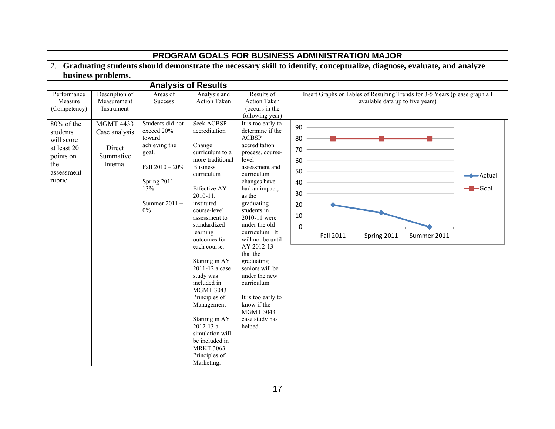| Graduating students should demonstrate the necessary skill to identify, conceptualize, diagnose, evaluate, and analyze                     |                                                                                                                     |                                                                                                                                                                           |                                                                                                                                                                                                                                                                                                                                                                                               |                                                                                                                                                                                                                                                                                                                                                                                                                                             |                                                                                                                                                                                                                                     |                               |  |
|--------------------------------------------------------------------------------------------------------------------------------------------|---------------------------------------------------------------------------------------------------------------------|---------------------------------------------------------------------------------------------------------------------------------------------------------------------------|-----------------------------------------------------------------------------------------------------------------------------------------------------------------------------------------------------------------------------------------------------------------------------------------------------------------------------------------------------------------------------------------------|---------------------------------------------------------------------------------------------------------------------------------------------------------------------------------------------------------------------------------------------------------------------------------------------------------------------------------------------------------------------------------------------------------------------------------------------|-------------------------------------------------------------------------------------------------------------------------------------------------------------------------------------------------------------------------------------|-------------------------------|--|
|                                                                                                                                            | business problems.                                                                                                  |                                                                                                                                                                           |                                                                                                                                                                                                                                                                                                                                                                                               |                                                                                                                                                                                                                                                                                                                                                                                                                                             |                                                                                                                                                                                                                                     |                               |  |
|                                                                                                                                            |                                                                                                                     |                                                                                                                                                                           |                                                                                                                                                                                                                                                                                                                                                                                               |                                                                                                                                                                                                                                                                                                                                                                                                                                             |                                                                                                                                                                                                                                     |                               |  |
| Performance<br>Measure<br>(Competency)<br>80% of the<br>students<br>will score<br>at least 20<br>points on<br>the<br>assessment<br>rubric. | Description of<br>Measurement<br>Instrument<br><b>MGMT 4433</b><br>Case analysis<br>Direct<br>Summative<br>Internal | Areas of<br><b>Success</b><br>Students did not<br>exceed 20%<br>toward<br>achieving the<br>goal.<br>Fall $2010 - 20\%$<br>Spring $2011 -$<br>13%<br>Summer 2011-<br>$0\%$ | <b>Analysis of Results</b><br>Analysis and<br><b>Action Taken</b><br><b>Seek ACBSP</b><br>accreditation<br>Change<br>curriculum to a<br>more traditional<br><b>Business</b><br>curriculum<br><b>Effective AY</b><br>$2010 - 11$ ,<br>instituted<br>course-level<br>assessment to<br>standardized<br>learning<br>outcomes for<br>each course.<br>Starting in AY<br>2011-12 a case<br>study was | Results of<br><b>Action Taken</b><br>(occurs in the<br>following year)<br>It is too early to<br>determine if the<br><b>ACBSP</b><br>accreditation<br>process, course-<br>level<br>assessment and<br>curriculum<br>changes have<br>had an impact,<br>as the<br>graduating<br>students in<br>2010-11 were<br>under the old<br>curriculum. It<br>will not be until<br>AY 2012-13<br>that the<br>graduating<br>seniors will be<br>under the new | Insert Graphs or Tables of Resulting Trends for 3-5 Years (please graph all<br>available data up to five years)<br>90<br>80<br>70<br>60<br>50<br>40<br>30<br>20<br>10<br>$\Omega$<br><b>Fall 2011</b><br>Summer 2011<br>Spring 2011 | Actual<br>$\blacksquare$ Goal |  |
|                                                                                                                                            |                                                                                                                     |                                                                                                                                                                           | included in<br><b>MGMT 3043</b><br>Principles of<br>Management<br>Starting in AY<br>$2012 - 13a$<br>simulation will<br>be included in<br><b>MRKT 3063</b><br>Principles of<br>Marketing.                                                                                                                                                                                                      | curriculum.<br>It is too early to<br>know if the<br><b>MGMT 3043</b><br>case study has<br>helped.                                                                                                                                                                                                                                                                                                                                           |                                                                                                                                                                                                                                     |                               |  |

## **PROGRAM GOALS FOR BUSINESS ADMINISTRATION MAJOR**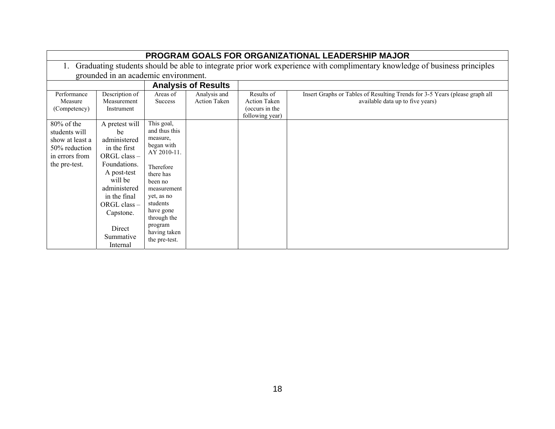| PROGRAM GOALS FOR ORGANIZATIONAL LEADERSHIP MAJOR                                                     |                                                                                                                                                                                                                        |                                                                                                                                                                                                                            |                                     |                                                                        |                                                                                                                 |  |  |  |
|-------------------------------------------------------------------------------------------------------|------------------------------------------------------------------------------------------------------------------------------------------------------------------------------------------------------------------------|----------------------------------------------------------------------------------------------------------------------------------------------------------------------------------------------------------------------------|-------------------------------------|------------------------------------------------------------------------|-----------------------------------------------------------------------------------------------------------------|--|--|--|
|                                                                                                       | Graduating students should be able to integrate prior work experience with complimentary knowledge of business principles                                                                                              |                                                                                                                                                                                                                            |                                     |                                                                        |                                                                                                                 |  |  |  |
|                                                                                                       | grounded in an academic environment.                                                                                                                                                                                   |                                                                                                                                                                                                                            |                                     |                                                                        |                                                                                                                 |  |  |  |
|                                                                                                       |                                                                                                                                                                                                                        |                                                                                                                                                                                                                            | <b>Analysis of Results</b>          |                                                                        |                                                                                                                 |  |  |  |
| Performance<br>Measure<br>(Competency)                                                                | Description of<br>Measurement<br>Instrument                                                                                                                                                                            | Areas of<br><b>Success</b>                                                                                                                                                                                                 | Analysis and<br><b>Action Taken</b> | Results of<br><b>Action Taken</b><br>(occurs in the<br>following year) | Insert Graphs or Tables of Resulting Trends for 3-5 Years (please graph all<br>available data up to five years) |  |  |  |
| $80\%$ of the<br>students will<br>show at least a<br>50% reduction<br>in errors from<br>the pre-test. | A pretest will<br>be<br>administered<br>in the first<br>$ORGL$ class $-$<br>Foundations.<br>A post-test<br>will be<br>administered<br>in the final<br>$ORGL$ class $-$<br>Capstone.<br>Direct<br>Summative<br>Internal | This goal,<br>and thus this<br>measure,<br>began with<br>AY 2010-11.<br>Therefore<br>there has<br>been no<br>measurement<br>yet, as no<br>students<br>have gone<br>through the<br>program<br>having taken<br>the pre-test. |                                     |                                                                        |                                                                                                                 |  |  |  |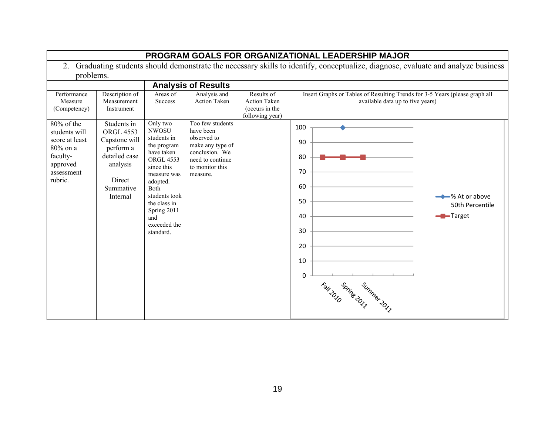| PROGRAM GOALS FOR ORGANIZATIONAL LEADERSHIP MAJOR                                 |                                                                                                                                 |                                                                                                                     |                                                                                                       |                                                                        |                                                                                                                 |                                    |  |  |  |
|-----------------------------------------------------------------------------------|---------------------------------------------------------------------------------------------------------------------------------|---------------------------------------------------------------------------------------------------------------------|-------------------------------------------------------------------------------------------------------|------------------------------------------------------------------------|-----------------------------------------------------------------------------------------------------------------|------------------------------------|--|--|--|
| 2.                                                                                | Graduating students should demonstrate the necessary skills to identify, conceptualize, diagnose, evaluate and analyze business |                                                                                                                     |                                                                                                       |                                                                        |                                                                                                                 |                                    |  |  |  |
| problems.                                                                         |                                                                                                                                 |                                                                                                                     |                                                                                                       |                                                                        |                                                                                                                 |                                    |  |  |  |
|                                                                                   |                                                                                                                                 |                                                                                                                     | <b>Analysis of Results</b>                                                                            |                                                                        |                                                                                                                 |                                    |  |  |  |
| Performance<br>Measure<br>(Competency)                                            | Description of<br>Measurement<br>Instrument                                                                                     | Areas of<br><b>Success</b>                                                                                          | Analysis and<br><b>Action Taken</b><br>Too few students                                               | Results of<br><b>Action Taken</b><br>(occurs in the<br>following year) | Insert Graphs or Tables of Resulting Trends for 3-5 Years (please graph all<br>available data up to five years) |                                    |  |  |  |
| 80% of the<br>students will<br>score at least<br>80% on a<br>faculty-<br>approved | Students in<br><b>ORGL 4553</b><br>Capstone will<br>perform a<br>detailed case<br>analysis                                      | Only two<br><b>NWOSU</b><br>students in<br>the program<br>have taken<br><b>ORGL 4553</b><br>since this              | have been<br>observed to<br>make any type of<br>conclusion. We<br>need to continue<br>to monitor this |                                                                        | 100<br>90<br>80                                                                                                 |                                    |  |  |  |
| assessment<br>rubric.                                                             | Direct<br>Summative<br>Internal                                                                                                 | measure was<br>adopted.<br>Both<br>students took<br>the class in<br>Spring 2011<br>and<br>exceeded the<br>standard. | measure.                                                                                              |                                                                        | 70<br>60<br>50<br>- <b>B</b> -Target<br>40<br>30<br>20<br>10<br>$\Omega$<br>For the summer of                   | → % At or above<br>50th Percentile |  |  |  |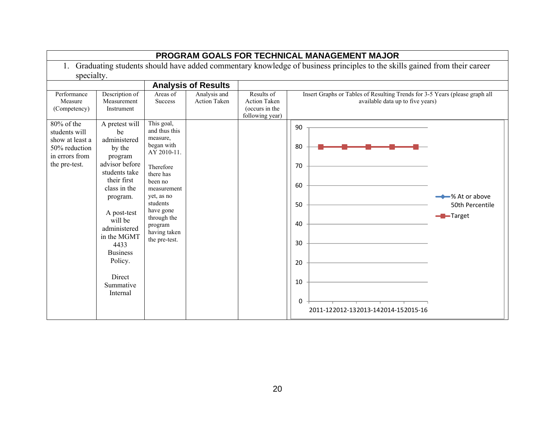| PROGRAM GOALS FOR TECHNICAL MANAGEMENT MAJOR                                                       |                                                                                                                                                                                                                                                                           |                                                                                                                                                                                                                            |                                     |                                                                        |                                                                                                                                                         |  |  |  |  |
|----------------------------------------------------------------------------------------------------|---------------------------------------------------------------------------------------------------------------------------------------------------------------------------------------------------------------------------------------------------------------------------|----------------------------------------------------------------------------------------------------------------------------------------------------------------------------------------------------------------------------|-------------------------------------|------------------------------------------------------------------------|---------------------------------------------------------------------------------------------------------------------------------------------------------|--|--|--|--|
|                                                                                                    | Graduating students should have added commentary knowledge of business principles to the skills gained from their career                                                                                                                                                  |                                                                                                                                                                                                                            |                                     |                                                                        |                                                                                                                                                         |  |  |  |  |
| specialty.                                                                                         |                                                                                                                                                                                                                                                                           |                                                                                                                                                                                                                            |                                     |                                                                        |                                                                                                                                                         |  |  |  |  |
|                                                                                                    |                                                                                                                                                                                                                                                                           |                                                                                                                                                                                                                            | <b>Analysis of Results</b>          |                                                                        |                                                                                                                                                         |  |  |  |  |
| Performance<br>Measure<br>(Competency)                                                             | Description of<br>Measurement<br>Instrument                                                                                                                                                                                                                               | Areas of<br><b>Success</b>                                                                                                                                                                                                 | Analysis and<br><b>Action Taken</b> | Results of<br><b>Action Taken</b><br>(occurs in the<br>following year) | Insert Graphs or Tables of Resulting Trends for 3-5 Years (please graph all<br>available data up to five years)                                         |  |  |  |  |
| 80% of the<br>students will<br>show at least a<br>50% reduction<br>in errors from<br>the pre-test. | A pretest will<br>be<br>administered<br>by the<br>program<br>advisor before<br>students take<br>their first<br>class in the<br>program.<br>A post-test<br>will be<br>administered<br>in the MGMT<br>4433<br><b>Business</b><br>Policy.<br>Direct<br>Summative<br>Internal | This goal,<br>and thus this<br>measure,<br>began with<br>AY 2010-11.<br>Therefore<br>there has<br>been no<br>measurement<br>yet, as no<br>students<br>have gone<br>through the<br>program<br>having taken<br>the pre-test. |                                     |                                                                        | 90<br>80<br>70<br>60<br><b>→→</b> % At or above<br>50<br>50th Percentile<br>-Target<br>40<br>30<br>20<br>10<br>0<br>2011-122012-132013-142014-152015-16 |  |  |  |  |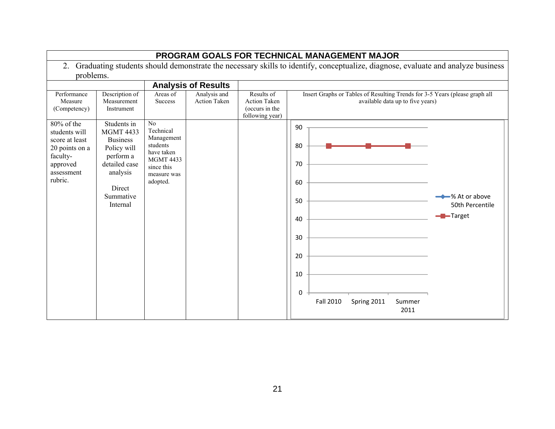|                                                                                                                     | PROGRAM GOALS FOR TECHNICAL MANAGEMENT MAJOR                                                                                                   |                                                                                                                      |                              |                                                                        |                                                                                                                                                                           |  |  |  |
|---------------------------------------------------------------------------------------------------------------------|------------------------------------------------------------------------------------------------------------------------------------------------|----------------------------------------------------------------------------------------------------------------------|------------------------------|------------------------------------------------------------------------|---------------------------------------------------------------------------------------------------------------------------------------------------------------------------|--|--|--|
| 2.                                                                                                                  |                                                                                                                                                |                                                                                                                      |                              |                                                                        | Graduating students should demonstrate the necessary skills to identify, conceptualize, diagnose, evaluate and analyze business                                           |  |  |  |
| problems.                                                                                                           |                                                                                                                                                |                                                                                                                      |                              |                                                                        |                                                                                                                                                                           |  |  |  |
|                                                                                                                     |                                                                                                                                                |                                                                                                                      | <b>Analysis of Results</b>   |                                                                        |                                                                                                                                                                           |  |  |  |
| Performance<br>Measure<br>(Competency)                                                                              | Description of<br>Measurement<br>Instrument                                                                                                    | Areas of<br><b>Success</b>                                                                                           | Analysis and<br>Action Taken | Results of<br><b>Action Taken</b><br>(occurs in the<br>following year) | Insert Graphs or Tables of Resulting Trends for 3-5 Years (please graph all<br>available data up to five years)                                                           |  |  |  |
| $80\%$ of the<br>students will<br>score at least<br>20 points on a<br>faculty-<br>approved<br>assessment<br>rubric. | Students in<br><b>MGMT 4433</b><br><b>Business</b><br>Policy will<br>perform a<br>detailed case<br>analysis<br>Direct<br>Summative<br>Internal | No<br>Technical<br>Management<br>students<br>have taken<br><b>MGMT 4433</b><br>since this<br>measure was<br>adopted. |                              |                                                                        | 90<br>80<br>70<br>60<br><b>→→</b> % At or above<br>50<br>50th Percentile<br>-Target<br>40<br>30<br>20<br>10<br>$\mathbf{0}$<br>Fall 2010<br>Spring 2011<br>Summer<br>2011 |  |  |  |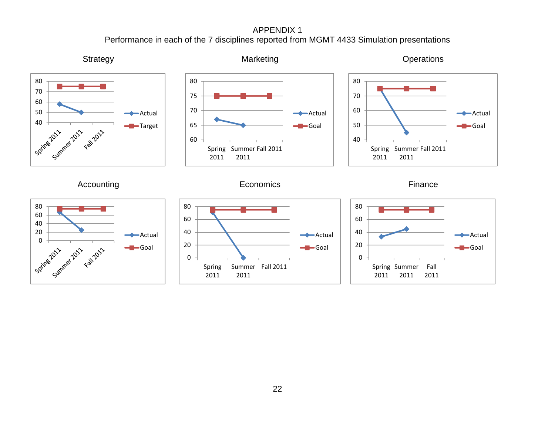APPENDIX 1 Performance in each of the 7 disciplines reported from MGMT 4433 Simulation presentations